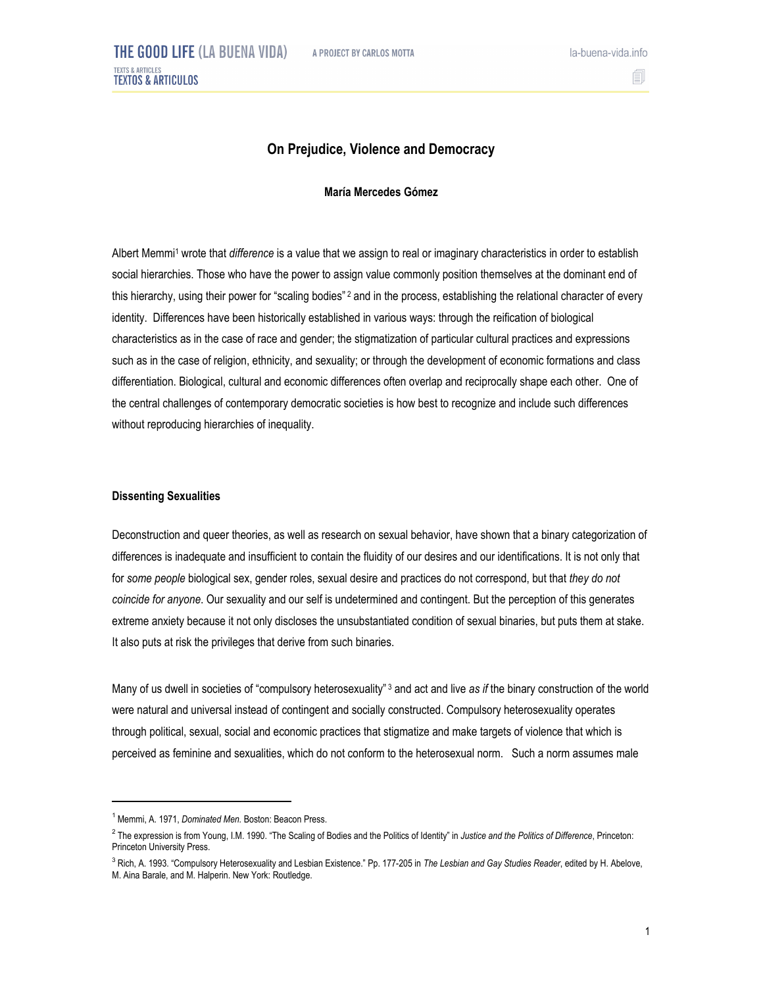

# **On Prejudice, Violence and Democracy**

## **María Mercedes Gómez**

Albert Memmi1 wrote that *difference* is a value that we assign to real or imaginary characteristics in order to establish social hierarchies. Those who have the power to assign value commonly position themselves at the dominant end of this hierarchy, using their power for "scaling bodies" <sup>2</sup> and in the process, establishing the relational character of every identity. Differences have been historically established in various ways: through the reification of biological characteristics as in the case of race and gender; the stigmatization of particular cultural practices and expressions such as in the case of religion, ethnicity, and sexuality; or through the development of economic formations and class differentiation. Biological, cultural and economic differences often overlap and reciprocally shape each other. One of the central challenges of contemporary democratic societies is how best to recognize and include such differences without reproducing hierarchies of inequality.

#### **Dissenting Sexualities**

Deconstruction and queer theories, as well as research on sexual behavior, have shown that a binary categorization of differences is inadequate and insufficient to contain the fluidity of our desires and our identifications. It is not only that for *some people* biological sex, gender roles, sexual desire and practices do not correspond, but that *they do not coincide for anyone*. Our sexuality and our self is undetermined and contingent. But the perception of this generates extreme anxiety because it not only discloses the unsubstantiated condition of sexual binaries, but puts them at stake. It also puts at risk the privileges that derive from such binaries.

Many of us dwell in societies of "compulsory heterosexuality" 3 and act and live *as if* the binary construction of the world were natural and universal instead of contingent and socially constructed. Compulsory heterosexuality operates through political, sexual, social and economic practices that stigmatize and make targets of violence that which is perceived as feminine and sexualities, which do not conform to the heterosexual norm. Such a norm assumes male

 $\overline{a}$ 

<sup>&</sup>lt;sup>1</sup> Memmi, A. 1971, *Dominated Men.* Boston: Beacon Press.

<sup>2</sup> The expression is from Young, I.M. 1990. "The Scaling of Bodies and the Politics of Identity" in *Justice and the Politics of Difference*, Princeton: Princeton University Press.

<sup>3</sup> Rich, A. 1993. "Compulsory Heterosexuality and Lesbian Existence." Pp. 177-205 in *The Lesbian and Gay Studies Reader*, edited by H. Abelove, M. Aina Barale, and M. Halperin. New York: Routledge.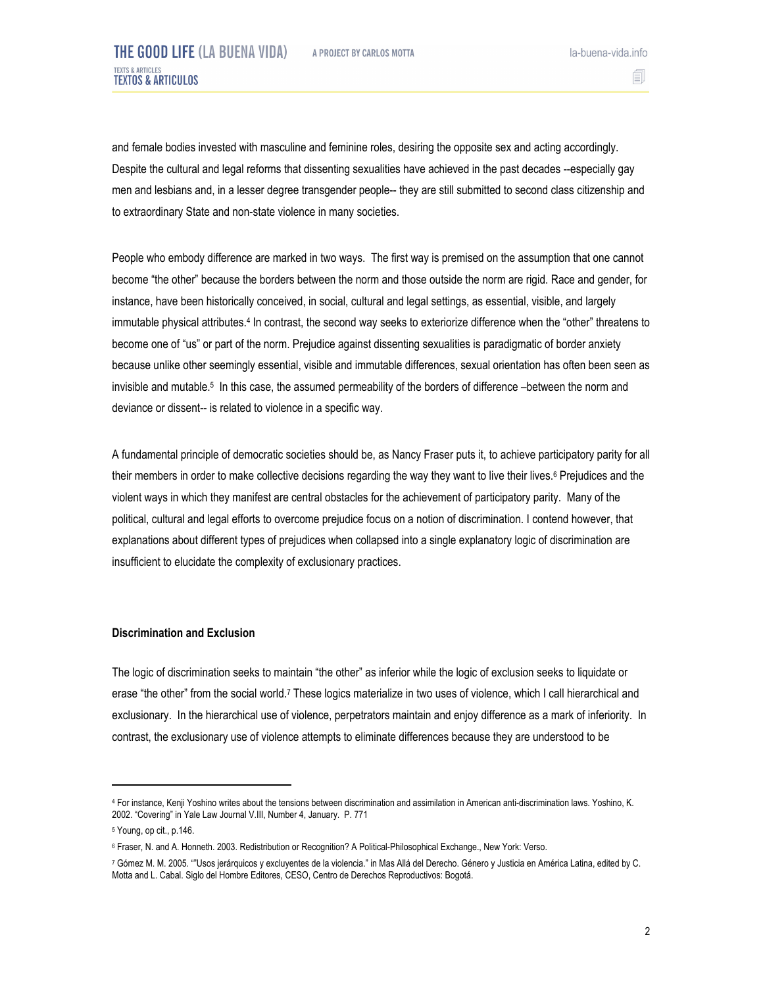and female bodies invested with masculine and feminine roles, desiring the opposite sex and acting accordingly. Despite the cultural and legal reforms that dissenting sexualities have achieved in the past decades --especially gay men and lesbians and, in a lesser degree transgender people-- they are still submitted to second class citizenship and to extraordinary State and non-state violence in many societies.

People who embody difference are marked in two ways. The first way is premised on the assumption that one cannot become "the other" because the borders between the norm and those outside the norm are rigid. Race and gender, for instance, have been historically conceived, in social, cultural and legal settings, as essential, visible, and largely immutable physical attributes.4 In contrast, the second way seeks to exteriorize difference when the "other" threatens to become one of "us" or part of the norm. Prejudice against dissenting sexualities is paradigmatic of border anxiety because unlike other seemingly essential, visible and immutable differences, sexual orientation has often been seen as invisible and mutable.5 In this case, the assumed permeability of the borders of difference –between the norm and deviance or dissent-- is related to violence in a specific way.

A fundamental principle of democratic societies should be, as Nancy Fraser puts it, to achieve participatory parity for all their members in order to make collective decisions regarding the way they want to live their lives.6 Prejudices and the violent ways in which they manifest are central obstacles for the achievement of participatory parity. Many of the political, cultural and legal efforts to overcome prejudice focus on a notion of discrimination. I contend however, that explanations about different types of prejudices when collapsed into a single explanatory logic of discrimination are insufficient to elucidate the complexity of exclusionary practices.

### **Discrimination and Exclusion**

The logic of discrimination seeks to maintain "the other" as inferior while the logic of exclusion seeks to liquidate or erase "the other" from the social world.7 These logics materialize in two uses of violence, which I call hierarchical and exclusionary. In the hierarchical use of violence, perpetrators maintain and enjoy difference as a mark of inferiority. In contrast, the exclusionary use of violence attempts to eliminate differences because they are understood to be

 $\overline{a}$ 

<sup>4</sup> For instance, Kenji Yoshino writes about the tensions between discrimination and assimilation in American anti-discrimination laws. Yoshino, K. 2002. "Covering" in Yale Law Journal V.III, Number 4, January. P. 771

<sup>5</sup> Young, op cit., p.146.

<sup>6</sup> Fraser, N. and A. Honneth. 2003. Redistribution or Recognition? A Political-Philosophical Exchange., New York: Verso.

<sup>7</sup> Gómez M. M. 2005. ""Usos jerárquicos y excluyentes de la violencia." in Mas Allá del Derecho. Género y Justicia en América Latina, edited by C. Motta and L. Cabal. Siglo del Hombre Editores, CESO, Centro de Derechos Reproductivos: Bogotá.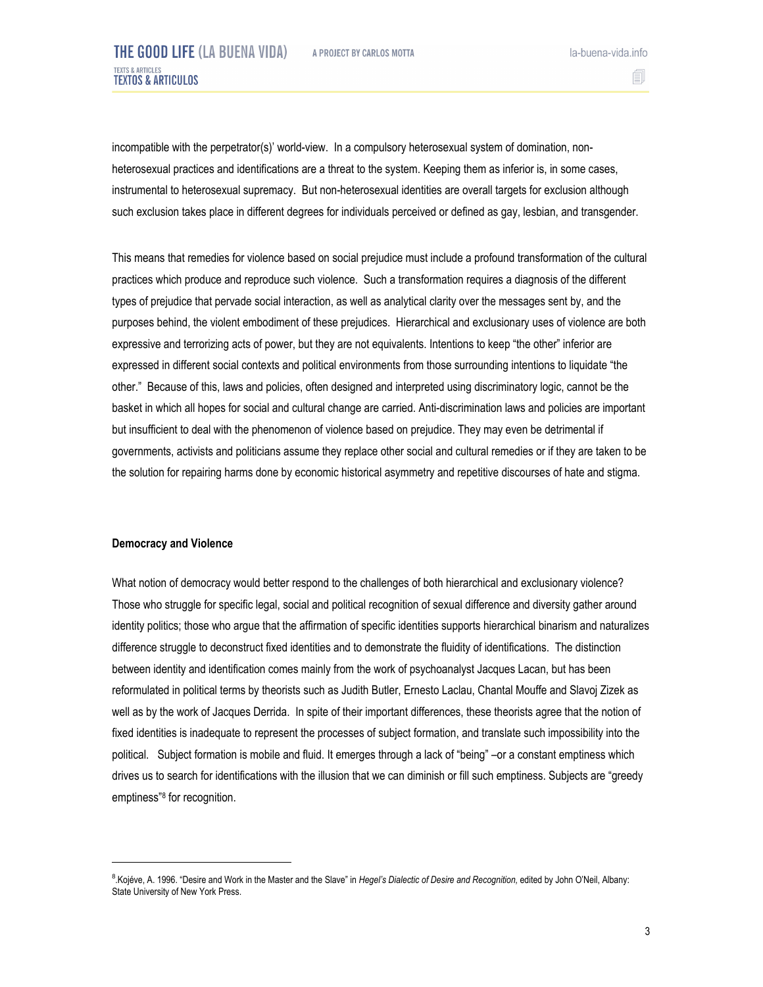la-buena-vida.info

incompatible with the perpetrator(s)' world-view. In a compulsory heterosexual system of domination, nonheterosexual practices and identifications are a threat to the system. Keeping them as inferior is, in some cases, instrumental to heterosexual supremacy. But non-heterosexual identities are overall targets for exclusion although such exclusion takes place in different degrees for individuals perceived or defined as gay, lesbian, and transgender.

This means that remedies for violence based on social prejudice must include a profound transformation of the cultural practices which produce and reproduce such violence. Such a transformation requires a diagnosis of the different types of prejudice that pervade social interaction, as well as analytical clarity over the messages sent by, and the purposes behind, the violent embodiment of these prejudices. Hierarchical and exclusionary uses of violence are both expressive and terrorizing acts of power, but they are not equivalents. Intentions to keep "the other" inferior are expressed in different social contexts and political environments from those surrounding intentions to liquidate "the other." Because of this, laws and policies, often designed and interpreted using discriminatory logic, cannot be the basket in which all hopes for social and cultural change are carried. Anti-discrimination laws and policies are important but insufficient to deal with the phenomenon of violence based on prejudice. They may even be detrimental if governments, activists and politicians assume they replace other social and cultural remedies or if they are taken to be the solution for repairing harms done by economic historical asymmetry and repetitive discourses of hate and stigma.

#### **Democracy and Violence**

 $\overline{a}$ 

What notion of democracy would better respond to the challenges of both hierarchical and exclusionary violence? Those who struggle for specific legal, social and political recognition of sexual difference and diversity gather around identity politics; those who argue that the affirmation of specific identities supports hierarchical binarism and naturalizes difference struggle to deconstruct fixed identities and to demonstrate the fluidity of identifications. The distinction between identity and identification comes mainly from the work of psychoanalyst Jacques Lacan, but has been reformulated in political terms by theorists such as Judith Butler, Ernesto Laclau, Chantal Mouffe and Slavoj Zizek as well as by the work of Jacques Derrida. In spite of their important differences, these theorists agree that the notion of fixed identities is inadequate to represent the processes of subject formation, and translate such impossibility into the political. Subject formation is mobile and fluid. It emerges through a lack of "being" –or a constant emptiness which drives us to search for identifications with the illusion that we can diminish or fill such emptiness. Subjects are "greedy emptiness"8 for recognition.

<sup>&</sup>lt;sup>8</sup>.Kojéve, A. 1996. "Desire and Work in the Master and the Slave" in *Hegel's Dialectic of Desire and Recognition*, edited by John O'Neil, Albany: State University of New York Press.